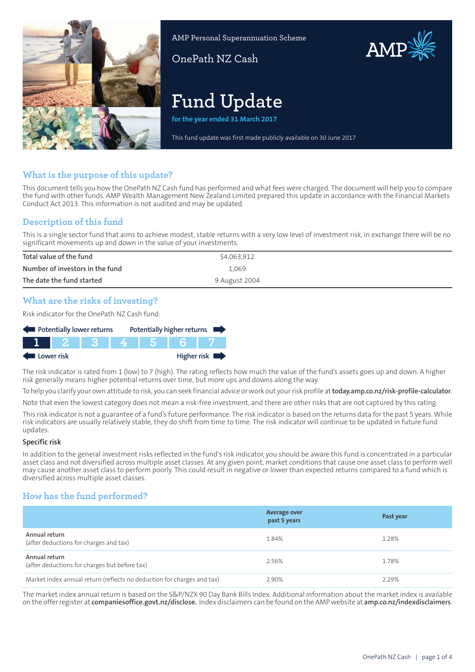

AMP Personal Superannuation Scheme

OnePath NZ Cash

# **Fund Update**

**for the year ended 31 March 2017**

This fund update was first made publicly available on 30 June 2017

AMP

# **What is the purpose of this update?**

This document tells you how the OnePath NZ Cash fund has performed and what fees were charged. The document will help you to compare the fund with other funds. AMP Wealth Management New Zealand Limited prepared this update in accordance with the Financial Markets Conduct Act 2013. This information is not audited and may be updated.

#### **Description of this fund**

This is a single sector fund that aims to achieve modest, stable returns with a very low level of investment risk, in exchange there will be no significant movements up and down in the value of your investments.

| Total value of the fund         | \$4,063,912   |
|---------------------------------|---------------|
| Number of investors in the fund | 1.069         |
| The date the fund started       | 9 August 2004 |

# **What are the risks of investing?**

Risk indicator for the OnePath NZ Cash fund:



The risk indicator is rated from 1 (low) to 7 (high). The rating reflects how much the value of the fund's assets goes up and down. A higher risk generally means higher potential returns over time, but more ups and downs along the way.

To help you clarify your own attitude to risk, you can seek financial advice orwork out yourrisk profile at**[today.amp.co.nz/risk-profile-calculator](http://today.amp.co.nz/risk-profile-calculator)**. Note that even the lowest category does not mean a risk-free investment, and there are other risks that are not captured by this rating.

This risk indicator is not a guarantee of a fund's future performance. The risk indicator is based on the returns data for the past 5 years. While risk indicators are usually relatively stable, they do shift from time to time. The risk indicator will continue to be updated in future fund updates.

#### **Specific risk**

In addition to the general investment risks reflected in the fund's risk indicator, you should be aware this fund is concentrated in a particular asset class and not diversified across multiple asset classes. At any given point, market conditions that cause one asset class to perform well may cause another asset class to perform poorly. This could result in negative or lower than expected returns compared to a fund which is diversified across multiple asset classes.

# **How has the fund performed?**

|                                                                        | Average over<br>past 5 years | Past year |
|------------------------------------------------------------------------|------------------------------|-----------|
| Annual return<br>(after deductions for charges and tax)                | 1.84%                        | 1.28%     |
| Annual return<br>(after deductions for charges but before tax)         | 2.56%                        | 1.78%     |
| Market index annual return (reflects no deduction for charges and tax) | 2.90%                        | 2.29%     |

The market index annual return is based on the S&P/NZX 90 Day Bank Bills Index. Additional information about the market index is available on the offerregister at **[companiesoffice.govt.nz/disclose.](http://companiesoffice.govt.nz/disclose)** Index disclaimers can be found on the AMP website at **[amp.co.nz/indexdisclaimers](http://amp.co.nz/indexdisclaimers)**.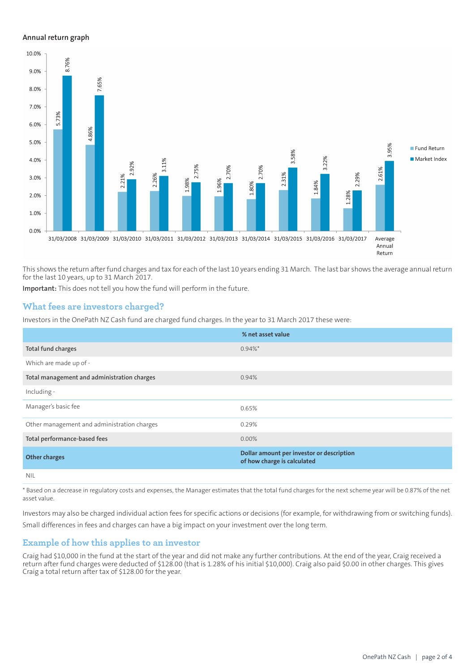#### **Annual return graph**



This shows the return after fund charges and tax for each of the last 10 years ending 31 March. The last bar shows the average annual return for the last 10 years, up to 31 March 2017.

**Important:** This does not tell you how the fund will perform in the future.

#### **What fees are investors charged?**

Investors in the OnePath NZ Cash fund are charged fund charges. In the year to 31 March 2017 these were:

|                                             | % net asset value                                                        |
|---------------------------------------------|--------------------------------------------------------------------------|
| Total fund charges                          | $0.94\%$ *                                                               |
| Which are made up of -                      |                                                                          |
| Total management and administration charges | 0.94%                                                                    |
| Including -                                 |                                                                          |
| Manager's basic fee                         | 0.65%                                                                    |
| Other management and administration charges | 0.29%                                                                    |
| Total performance-based fees                | $0.00\%$                                                                 |
| <b>Other charges</b>                        | Dollar amount per investor or description<br>of how charge is calculated |
| <b>NIL</b>                                  |                                                                          |

\* Based on a decrease in regulatory costs and expenses, the Manager estimates that the total fund charges for the next scheme year will be 0.87% of the net asset value.

Investors may also be charged individual action fees for specific actions or decisions (for example, for withdrawing from or switching funds). Small differences in fees and charges can have a big impact on your investment over the long term.

#### **Example of how this applies to an investor**

Craig had \$10,000 in the fund at the start of the year and did not make any further contributions. At the end of the year, Craig received a return after fund charges were deducted of \$128.00 (that is 1.28% of his initial \$10,000). Craig also paid \$0.00 in other charges. This gives Craig a total return after tax of \$128.00 for the year.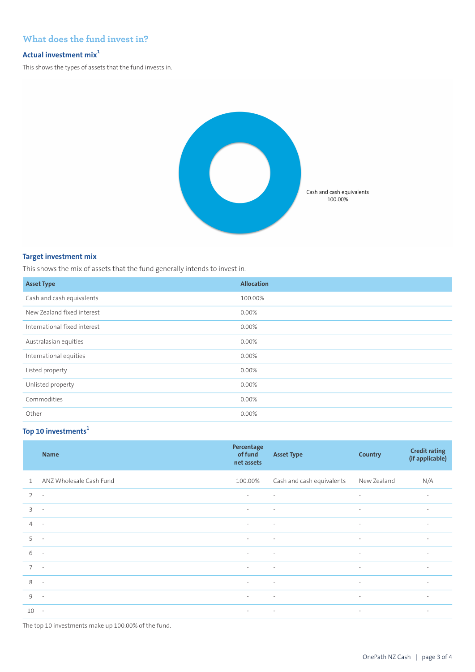# **What does the fund invest in?**

#### **Actual investment mix<sup>1</sup>**

This shows the types of assets that the fund invests in.



#### **Target investment mix**

This shows the mix of assets that the fund generally intends to invest in.

| <b>Asset Type</b>            | <b>Allocation</b> |
|------------------------------|-------------------|
| Cash and cash equivalents    | 100.00%           |
| New Zealand fixed interest   | $0.00\%$          |
| International fixed interest | 0.00%             |
| Australasian equities        | 0.00%             |
| International equities       | 0.00%             |
| Listed property              | 0.00%             |
| Unlisted property            | 0.00%             |
| Commodities                  | $0.00\%$          |
| Other                        | $0.00\%$          |

# **Top 10 investments<sup>1</sup>**

|                | <b>Name</b>              | Percentage<br>of fund<br>net assets                  | <b>Asset Type</b>         | Country                  | <b>Credit rating</b><br>(if applicable) |
|----------------|--------------------------|------------------------------------------------------|---------------------------|--------------------------|-----------------------------------------|
| $\mathbf{1}$   | ANZ Wholesale Cash Fund  | 100.00%                                              | Cash and cash equivalents | New Zealand              | N/A                                     |
| $\overline{2}$ | $\overline{\phantom{a}}$ | $\sim$                                               | $\sim$                    | $\overline{\phantom{a}}$ | $\sim$                                  |
| 3              | $\sim$                   | $\sim$                                               | $\sim$                    | $\sim$                   | $\overline{\phantom{a}}$                |
| $\overline{4}$ | $\sim$                   | $\sim$                                               | $\sim$                    | $\overline{\phantom{a}}$ | $\sim$                                  |
| 5              | $\sim$                   | $\overline{\phantom{a}}$                             | $\sim$                    | $\sim$                   | $\overline{\phantom{a}}$                |
| 6              | $\sim$                   | $\sim$                                               | $\sim$                    | $\sim$                   | $\overline{\phantom{a}}$                |
| $\overline{7}$ | $\sim$                   | $\sim$                                               | $\sim$                    | $\sim$                   | $\sim$                                  |
| 8              | $\sim$                   | $\sim$                                               | $\sim$                    | $\sim$                   | $\overline{\phantom{a}}$                |
| 9              | $\sim$                   | $\sim$                                               | $\sim$                    | $\sim$                   | $\overline{\phantom{a}}$                |
| 10             | $\sim$                   | $\overline{\phantom{a}}$<br><b>Contract Contract</b> |                           | $\sim$                   | $\sim$                                  |

The top 10 investments make up 100.00% of the fund.